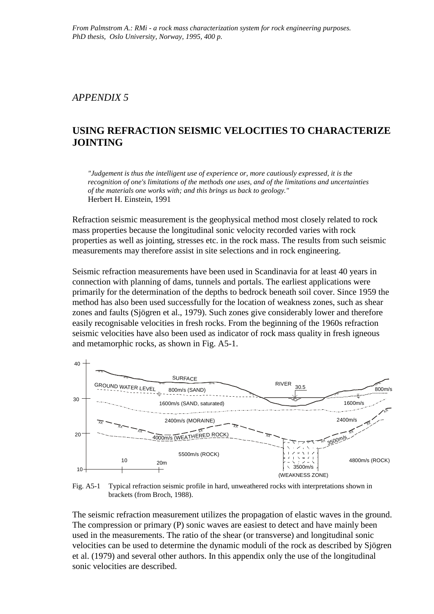## *APPENDIX 5*

# **USING REFRACTION SEISMIC VELOCITIES TO CHARACTERIZE JOINTING**

*"Judgement is thus the intelligent use of experience or, more cautiously expressed, it is the recognition of one's limitations of the methods one uses, and of the limitations and uncertainties of the materials one works with; and this brings us back to geology."* Herbert H. Einstein, 1991

Refraction seismic measurement is the geophysical method most closely related to rock mass properties because the longitudinal sonic velocity recorded varies with rock properties as well as jointing, stresses etc. in the rock mass. The results from such seismic measurements may therefore assist in site selections and in rock engineering.

Seismic refraction measurements have been used in Scandinavia for at least 40 years in connection with planning of dams, tunnels and portals. The earliest applications were primarily for the determination of the depths to bedrock beneath soil cover. Since 1959 the method has also been used successfully for the location of weakness zones, such as shear zones and faults (Sjögren et al., 1979). Such zones give considerably lower and therefore easily recognisable velocities in fresh rocks. From the beginning of the 1960s refraction seismic velocities have also been used as indicator of rock mass quality in fresh igneous and metamorphic rocks, as shown in Fig. A5-1.



Fig. A5-1 Typical refraction seismic profile in hard, unweathered rocks with interpretations shown in brackets (from Broch, 1988).

The seismic refraction measurement utilizes the propagation of elastic waves in the ground. The compression or primary (P) sonic waves are easiest to detect and have mainly been used in the measurements. The ratio of the shear (or transverse) and longitudinal sonic velocities can be used to determine the dynamic moduli of the rock as described by Sjögren et al. (1979) and several other authors. In this appendix only the use of the longitudinal sonic velocities are described.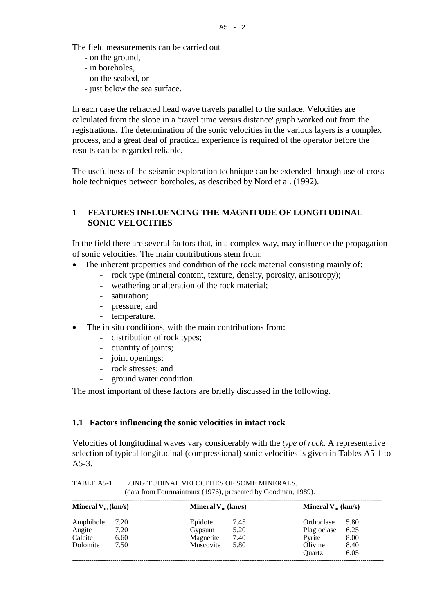The field measurements can be carried out

- on the ground,
- in boreholes,
- on the seabed, or
- just below the sea surface.

In each case the refracted head wave travels parallel to the surface. Velocities are calculated from the slope in a 'travel time versus distance' graph worked out from the registrations. The determination of the sonic velocities in the various layers is a complex process, and a great deal of practical experience is required of the operator before the results can be regarded reliable.

The usefulness of the seismic exploration technique can be extended through use of crosshole techniques between boreholes, as described by Nord et al. (1992).

## **1 FEATURES INFLUENCING THE MAGNITUDE OF LONGITUDINAL SONIC VELOCITIES**

In the field there are several factors that, in a complex way, may influence the propagation of sonic velocities. The main contributions stem from:

- The inherent properties and condition of the rock material consisting mainly of:
	- rock type (mineral content, texture, density, porosity, anisotropy);
	- weathering or alteration of the rock material;
	- saturation;
	- pressure; and
	- temperature.
- The in situ conditions, with the main contributions from:
	- distribution of rock types;
	- quantity of joints;
	- joint openings;
	- rock stresses; and
	- ground water condition.

The most important of these factors are briefly discussed in the following.

### **1.1 Factors influencing the sonic velocities in intact rock**

Velocities of longitudinal waves vary considerably with the *type of rock*. A representative selection of typical longitudinal (compressional) sonic velocities is given in Tables A5-1 to  $A5-3.$ 

| Mineral $V_m$ (km/s) |      | Mineral $V_m$ (km/s) |      | Mineral $V_m$ (km/s) |      |
|----------------------|------|----------------------|------|----------------------|------|
| Amphibole            | 7.20 | Epidote              | 7.45 | Orthoclase           | 5.80 |
| Augite               | 7.20 | Gypsum               | 5.20 | Plagioclase          | 6.25 |
| Calcite              | 6.60 | Magnetite            | 7.40 | Pyrite               | 8.00 |
| Dolomite             | 7.50 | Muscovite            | 5.80 | Olivine              | 8.40 |
|                      |      |                      |      | Ouartz               | 6.05 |

TABLE A5-1 LONGITUDINAL VELOCITIES OF SOME MINERALS. (data from Fourmaintraux (1976), presented by Goodman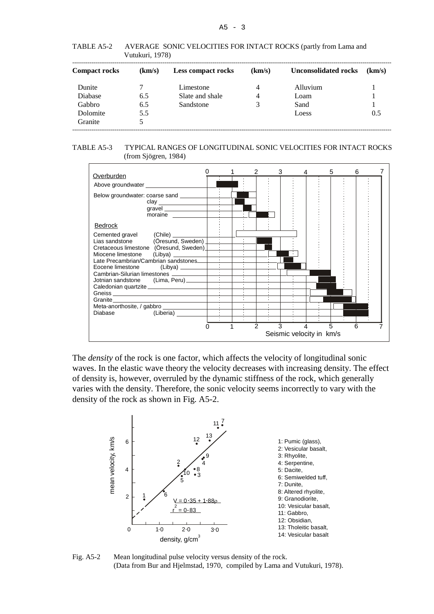TABLE A5-2 AVERAGE SONIC VELOCITIES FOR INTACT ROCKS (partly from Lama and Vutukuri, 1978)

| <b>Compact rocks</b> | (km/s) | <b>Less compact rocks</b> | (km/s) | <b>Unconsolidated rocks</b> | (km/s) |
|----------------------|--------|---------------------------|--------|-----------------------------|--------|
| Dunite               |        | Limestone                 | 4      | Alluvium                    |        |
| Diabase              | 6.5    | Slate and shale           | 4      | Loam                        |        |
| Gabbro               | 6.5    | Sandstone                 | 3      | Sand                        |        |
| Dolomite             | 5.5    |                           |        | Loess                       | 0.5    |
| Granite              |        |                           |        |                             |        |

TABLE A5-3 TYPICAL RANGES OF LONGITUDINAL SONIC VELOCITIES FOR INTACT ROCKS (from Sjögren, 1984)



The *density* of the rock is one factor, which affects the velocity of longitudinal sonic waves. In the elastic wave theory the velocity decreases with increasing density. The effect of density is, however, overruled by the dynamic stiffness of the rock, which generally varies with the density. Therefore, the sonic velocity seems incorrectly to vary with the density of the rock as shown in Fig. A5-2.



Fig. A5-2 Mean longitudinal pulse velocity versus density of the rock. (Data from Bur and Hjelmstad, 1970, compiled by Lama and Vutukuri, 1978).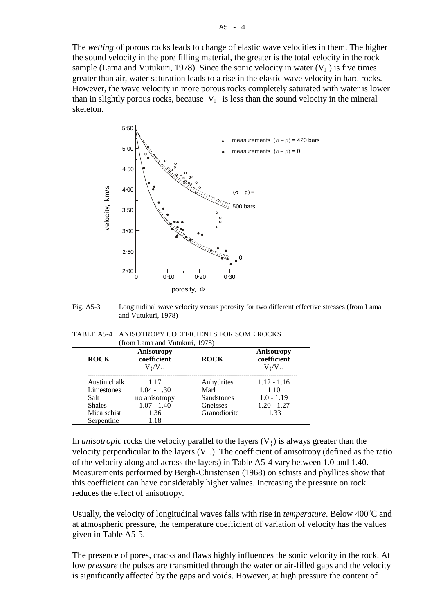The *wetting* of porous rocks leads to change of elastic wave velocities in them. The higher the sound velocity in the pore filling material, the greater is the total velocity in the rock sample (Lama and Vutukuri, 1978). Since the sonic velocity in water  $(V_1)$  is five times greater than air, water saturation leads to a rise in the elastic wave velocity in hard rocks. However, the wave velocity in more porous rocks completely saturated with water is lower than in slightly porous rocks, because  $V_1$  is less than the sound velocity in the mineral skeleton.



Fig. A5-3 Longitudinal wave velocity versus porosity for two different effective stresses (from Lama and Vutukuri, 1978)

| TABLE A5-4 ANISOTROPY COEFFICIENTS FOR SOME ROCKS |
|---------------------------------------------------|
| (from Lama and Vutukuri, 1978)                    |

| <b>ROCK</b>                                                                      | Anisotropy<br>coefficient<br>$V_1/V_-.$                                 | <b>ROCK</b>                                                         | Anisotropy<br>coefficient<br>$V_1/V_-.$                        |
|----------------------------------------------------------------------------------|-------------------------------------------------------------------------|---------------------------------------------------------------------|----------------------------------------------------------------|
| Austin chalk<br>Limestones<br>Salt<br><b>Shales</b><br>Mica schist<br>Serpentine | 1.17<br>$1.04 - 1.30$<br>no anisotropy<br>$1.07 - 1.40$<br>1.36<br>1.18 | Anhydrites<br>Marl<br><b>Sandstones</b><br>Gneisses<br>Granodiorite | $1.12 - 1.16$<br>1.10<br>$1.0 - 1.19$<br>$1.20 - 1.27$<br>1.33 |

In *anisotropic* rocks the velocity parallel to the layers  $(V<sub>l</sub>)$  is always greater than the velocity perpendicular to the layers  $(V_{-})$ . The coefficient of anisotropy (defined as the ratio of the velocity along and across the layers) in Table A5-4 vary between 1.0 and 1.40. Measurements performed by Bergh-Christensen (1968) on schists and phyllites show that this coefficient can have considerably higher values. Increasing the pressure on rock reduces the effect of anisotropy.

Usually, the velocity of longitudinal waves falls with rise in *temperature*. Below 400°C and at atmospheric pressure, the temperature coefficient of variation of velocity has the values given in Table A5-5.

The presence of pores, cracks and flaws highly influences the sonic velocity in the rock. At low *pressure* the pulses are transmitted through the water or air-filled gaps and the velocity is significantly affected by the gaps and voids. However, at high pressure the content of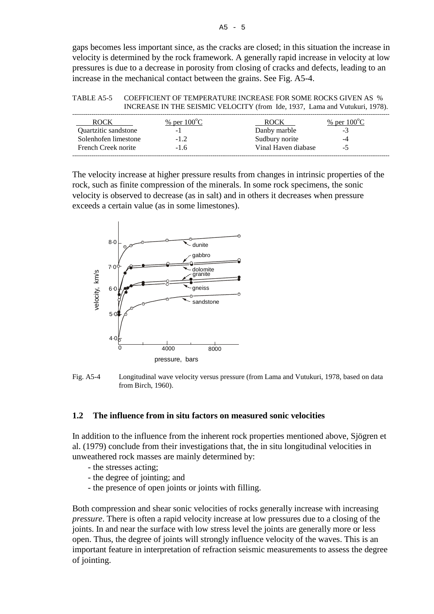gaps becomes less important since, as the cracks are closed; in this situation the increase in velocity is determined by the rock framework. A generally rapid increase in velocity at low pressures is due to a decrease in porosity from closing of cracks and defects, leading to an increase in the mechanical contact between the grains. See Fig. A5-4.

| TABLE A5-5 | COEFFICIENT OF TEMPERATURE INCREASE FOR SOME ROCKS GIVEN AS %               |
|------------|-----------------------------------------------------------------------------|
|            | INCREASE IN THE SEISMIC VELOCITY (from Ide, 1937, Lama and Vutukuri, 1978). |

| ROCK                 | % per $100^{\circ}$ C | <b>ROCK</b>         | % per $100^{\circ}$ C |
|----------------------|-----------------------|---------------------|-----------------------|
| Quartzitic sandstone | -                     | Danby marble        | - 1                   |
| Solenhofen limestone | -12                   | Sudbury norite      | -4                    |
| French Creek norite  | -16                   | Vinal Haven diabase |                       |
|                      |                       |                     |                       |

The velocity increase at higher pressure results from changes in intrinsic properties of the rock, such as finite compression of the minerals. In some rock specimens, the sonic velocity is observed to decrease (as in salt) and in others it decreases when pressure exceeds a certain value (as in some limestones).





#### **1.2 The influence from in situ factors on measured sonic velocities**

In addition to the influence from the inherent rock properties mentioned above, Sjögren et al. (1979) conclude from their investigations that, the in situ longitudinal velocities in unweathered rock masses are mainly determined by:

- the stresses acting;
- the degree of jointing; and
- the presence of open joints or joints with filling.

Both compression and shear sonic velocities of rocks generally increase with increasing *pressure*. There is often a rapid velocity increase at low pressures due to a closing of the joints. In and near the surface with low stress level the joints are generally more or less open. Thus, the degree of joints will strongly influence velocity of the waves. This is an important feature in interpretation of refraction seismic measurements to assess the degree of jointing.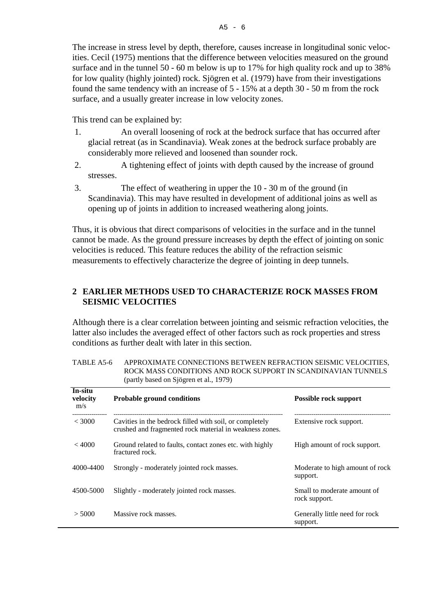The increase in stress level by depth, therefore, causes increase in longitudinal sonic velocities. Cecil (1975) mentions that the difference between velocities measured on the ground surface and in the tunnel 50 - 60 m below is up to 17% for high quality rock and up to 38% for low quality (highly jointed) rock. Sjögren et al. (1979) have from their investigations found the same tendency with an increase of 5 - 15% at a depth 30 - 50 m from the rock surface, and a usually greater increase in low velocity zones.

This trend can be explained by:

- 1. An overall loosening of rock at the bedrock surface that has occurred after glacial retreat (as in Scandinavia). Weak zones at the bedrock surface probably are considerably more relieved and loosened than sounder rock.
- 2. A tightening effect of joints with depth caused by the increase of ground stresses.
- 3. The effect of weathering in upper the 10 30 m of the ground (in Scandinavia). This may have resulted in development of additional joins as well as opening up of joints in addition to increased weathering along joints.

Thus, it is obvious that direct comparisons of velocities in the surface and in the tunnel cannot be made. As the ground pressure increases by depth the effect of jointing on sonic velocities is reduced. This feature reduces the ability of the refraction seismic measurements to effectively characterize the degree of jointing in deep tunnels.

## **2 EARLIER METHODS USED TO CHARACTERIZE ROCK MASSES FROM SEISMIC VELOCITIES**

Although there is a clear correlation between jointing and seismic refraction velocities, the latter also includes the averaged effect of other factors such as rock properties and stress conditions as further dealt with later in this section.

|                            | (partiy based on Sjogren et al., 1979)                                                                             |                                              |
|----------------------------|--------------------------------------------------------------------------------------------------------------------|----------------------------------------------|
| In-situ<br>velocity<br>m/s | <b>Probable ground conditions</b>                                                                                  | Possible rock support                        |
| < 3000                     | Cavities in the bedrock filled with soil, or completely<br>crushed and fragmented rock material in weakness zones. | Extensive rock support.                      |
| < 4000                     | Ground related to faults, contact zones etc. with highly<br>fractured rock.                                        | High amount of rock support.                 |
| 4000-4400                  | Strongly - moderately jointed rock masses.                                                                         | Moderate to high amount of rock<br>support.  |
| 4500-5000                  | Slightly - moderately jointed rock masses.                                                                         | Small to moderate amount of<br>rock support. |
| > 5000                     | Massive rock masses.                                                                                               | Generally little need for rock<br>support.   |

| TABLE A5-6 | APPROXIMATE CONNECTIONS BETWEEN REFRACTION SEISMIC VELOCITIES. |
|------------|----------------------------------------------------------------|
|            | ROCK MASS CONDITIONS AND ROCK SUPPORT IN SCANDINAVIAN TUNNELS  |
|            | (partly based on Sjögren et al., 1979)                         |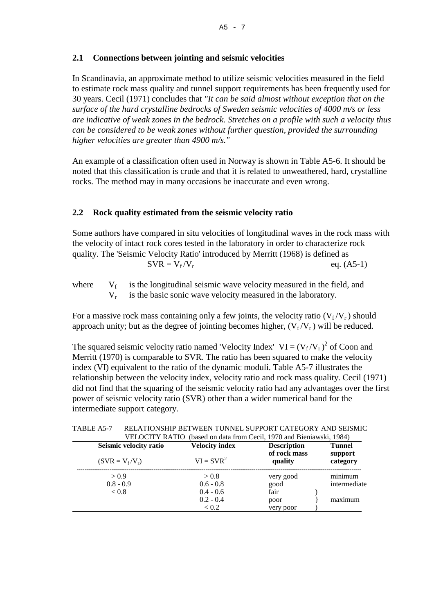## **2.1 Connections between jointing and seismic velocities**

In Scandinavia, an approximate method to utilize seismic velocities measured in the field to estimate rock mass quality and tunnel support requirements has been frequently used for 30 years. Cecil (1971) concludes that *"It can be said almost without exception that on the surface of the hard crystalline bedrocks of Sweden seismic velocities of 4000 m/s or less are indicative of weak zones in the bedrock. Stretches on a profile with such a velocity thus can be considered to be weak zones without further question, provided the surrounding higher velocities are greater than 4900 m/s."*

An example of a classification often used in Norway is shown in Table A5-6. It should be noted that this classification is crude and that it is related to unweathered, hard, crystalline rocks. The method may in many occasions be inaccurate and even wrong.

## **2.2 Rock quality estimated from the seismic velocity ratio**

Some authors have compared in situ velocities of longitudinal waves in the rock mass with the velocity of intact rock cores tested in the laboratory in order to characterize rock quality. The 'Seismic Velocity Ratio' introduced by Merritt (1968) is defined as  $SVR = V_f/V_r$  eq. (A5-1)

where  $V_f$  is the longitudinal seismic wave velocity measured in the field, and  $V_r$  is the basic sonic wave velocity measured in the laboratory.

For a massive rock mass containing only a few joints, the velocity ratio  $(V_f/V_r)$  should approach unity; but as the degree of jointing becomes higher,  $(V_f/V_r)$  will be reduced.

The squared seismic velocity ratio named 'Velocity Index'  $VI = (V_f/V_r)^2$  of Coon and Merritt (1970) is comparable to SVR. The ratio has been squared to make the velocity index (VI) equivalent to the ratio of the dynamic moduli. Table A5-7 illustrates the relationship between the velocity index, velocity ratio and rock mass quality. Cecil (1971) did not find that the squaring of the seismic velocity ratio had any advantages over the first power of seismic velocity ratio (SVR) other than a wider numerical band for the intermediate support category.

| Seismic velocity ratio | <b>Velocity index</b> | <b>Description</b><br>of rock mass | <b>Tunnel</b><br>support |
|------------------------|-----------------------|------------------------------------|--------------------------|
| $(SVR = V_f/V_r)$      | $VI = SVR2$           | quality                            | category                 |
| > 0.9                  | > 0.8                 | very good                          | minimum                  |
| $0.8 - 0.9$            | $0.6 - 0.8$           | good                               | intermediate             |
| < 0.8                  | $0.4 - 0.6$           | fair                               |                          |
|                        | $0.2 - 0.4$           | poor                               | maximum                  |
|                        | < 0.2                 | very poor                          |                          |

TABLE A5-7 RELATIONSHIP BETWEEN TUNNEL SUPPORT CATEGORY AND SEISMIC VELOCITY RATIO (based on data from Cecil, 1970 and Bieniawski, 1984)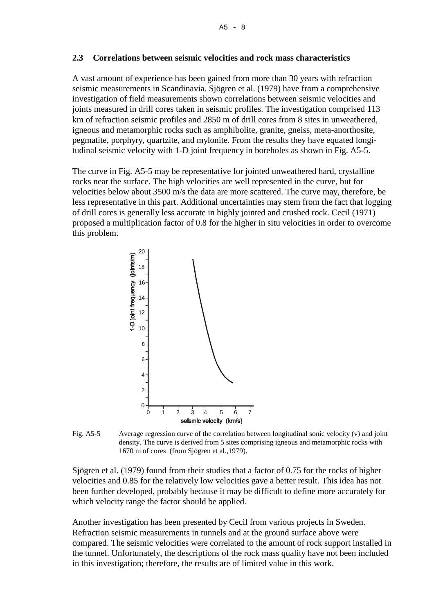#### **2.3 Correlations between seismic velocities and rock mass characteristics**

A vast amount of experience has been gained from more than 30 years with refraction seismic measurements in Scandinavia. Sjögren et al. (1979) have from a comprehensive investigation of field measurements shown correlations between seismic velocities and joints measured in drill cores taken in seismic profiles. The investigation comprised 113 km of refraction seismic profiles and 2850 m of drill cores from 8 sites in unweathered, igneous and metamorphic rocks such as amphibolite, granite, gneiss, meta-anorthosite, pegmatite, porphyry, quartzite, and mylonite. From the results they have equated longitudinal seismic velocity with 1-D joint frequency in boreholes as shown in Fig. A5-5.

The curve in Fig. A5-5 may be representative for jointed unweathered hard, crystalline rocks near the surface. The high velocities are well represented in the curve, but for velocities below about 3500 m/s the data are more scattered. The curve may, therefore, be less representative in this part. Additional uncertainties may stem from the fact that logging of drill cores is generally less accurate in highly jointed and crushed rock. Cecil (1971) proposed a multiplication factor of 0.8 for the higher in situ velocities in order to overcome this problem.



Fig. A5-5 Average regression curve of the correlation between longitudinal sonic velocity (v) and joint density. The curve is derived from 5 sites comprising igneous and metamorphic rocks with 1670 m of cores (from Sjögren et al.,1979).

Sjögren et al. (1979) found from their studies that a factor of 0.75 for the rocks of higher velocities and 0.85 for the relatively low velocities gave a better result. This idea has not been further developed, probably because it may be difficult to define more accurately for which velocity range the factor should be applied.

Another investigation has been presented by Cecil from various projects in Sweden. Refraction seismic measurements in tunnels and at the ground surface above were compared. The seismic velocities were correlated to the amount of rock support installed in the tunnel. Unfortunately, the descriptions of the rock mass quality have not been included in this investigation; therefore, the results are of limited value in this work.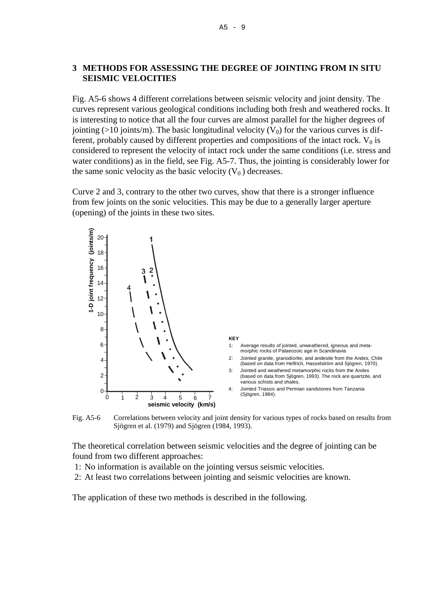### **3 METHODS FOR ASSESSING THE DEGREE OF JOINTING FROM IN SITU SEISMIC VELOCITIES**

Fig. A5-6 shows 4 different correlations between seismic velocity and joint density. The curves represent various geological conditions including both fresh and weathered rocks. It is interesting to notice that all the four curves are almost parallel for the higher degrees of jointing ( $>10$  joints/m). The basic longitudinal velocity ( $V_0$ ) for the various curves is different, probably caused by different properties and compositions of the intact rock.  $V_0$  is considered to represent the velocity of intact rock under the same conditions (i.e. stress and water conditions) as in the field, see Fig. A5-7. Thus, the jointing is considerably lower for the same sonic velocity as the basic velocity  $(V_0)$  decreases.

Curve 2 and 3, contrary to the other two curves, show that there is a stronger influence from few joints on the sonic velocities. This may be due to a generally larger aperture (opening) of the joints in these two sites.



Fig. A5-6 Correlations between velocity and joint density for various types of rocks based on results from Sjögren et al. (1979) and Sjögren (1984, 1993).

The theoretical correlation between seismic velocities and the degree of jointing can be found from two different approaches:

- 1: No information is available on the jointing versus seismic velocities.
- 2: At least two correlations between jointing and seismic velocities are known.

The application of these two methods is described in the following.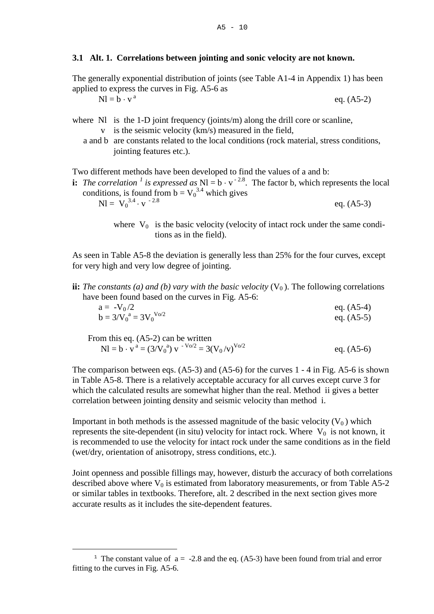#### **3.1 Alt. 1. Correlations between jointing and sonic velocity are not known.**

The generally exponential distribution of joints (see Table A1-4 in Appendix 1) has been applied to express the curves in Fig. A5-6 as

 $N = b \cdot v^a$ eq. (A5-2)

- where  $\overline{N}$  is the 1-D joint frequency (joints/m) along the drill core or scanline,
	- v is the seismic velocity (km/s) measured in the field,
	- a and b are constants related to the local conditions (rock material, stress conditions, jointing features etc.).

Two different methods have been developed to find the values of a and b:

**i:** *The correlation* <sup>*[1](#page-9-0)*</sup> *is expressed as*  $\text{NI} = \text{b} \cdot \text{v}^{-2.8}$ . The factor b, which represents the local conditions, is found from  $b = V_0^{3.4}$  which gives  $\text{NI} = \text{V}_0^{3.4} \cdot \text{v}^{-2.8}$  eq. (A5-3)

> where  $V_0$  is the basic velocity (velocity of intact rock under the same conditions as in the field).

As seen in Table A5-8 the deviation is generally less than 25% for the four curves, except for very high and very low degree of jointing.

**ii:** *The constants (a) and (b) vary with the basic velocity*  $(V_0)$ . The following correlations have been found based on the curves in Fig. A5-6:

$$
a = -V_0/2
$$
  
\n
$$
b = 3/V_0^a = 3V_0^{V_0/2}
$$
  
\n
$$
eq. (A5-4)
$$
  
\n
$$
eq. (A5-5)
$$

From this eq. (A5-2) can be written  $Nl = b \cdot v^a = (3/V_0^a) v^{-V_0/2} = 3(V_0/v)^{V_0/2}$  eq. (A5-6)

The comparison between eqs. (A5-3) and (A5-6) for the curves 1 - 4 in Fig. A5-6 is shown in Table A5-8. There is a relatively acceptable accuracy for all curves except curve 3 for which the calculated results are somewhat higher than the real. Method ii gives a better correlation between jointing density and seismic velocity than method i.

Important in both methods is the assessed magnitude of the basic velocity  $(V_0)$  which represents the site-dependent (in situ) velocity for intact rock. Where  $V_0$  is not known, it is recommended to use the velocity for intact rock under the same conditions as in the field (wet/dry, orientation of anisotropy, stress conditions, etc.).

Joint openness and possible fillings may, however, disturb the accuracy of both correlations described above where  $V_0$  is estimated from laboratory measurements, or from Table A5-2 or similar tables in textbooks. Therefore, alt. 2 described in the next section gives more accurate results as it includes the site-dependent features.

<span id="page-9-0"></span>Ĩ. <sup>1</sup> The constant value of  $a = -2.8$  and the eq. (A5-3) have been found from trial and error fitting to the curves in Fig. A5-6.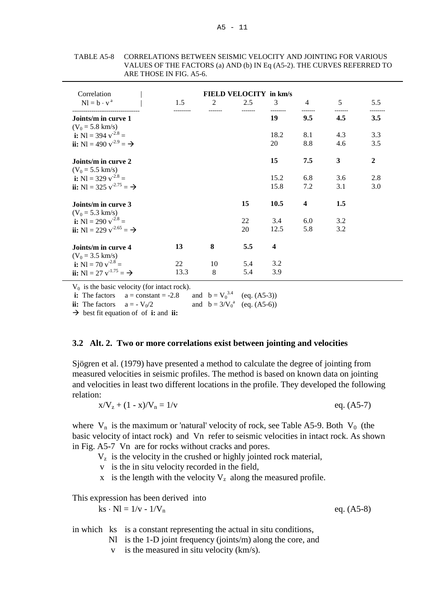| Correlation                                    |      |    | <b>FIELD VELOCITY in km/s</b> |                         |                          |     |                  |
|------------------------------------------------|------|----|-------------------------------|-------------------------|--------------------------|-----|------------------|
| $Nl = b \cdot v^a$                             | 1.5  | 2  | 2.5                           | $\mathcal{E}$           | $\overline{\mathcal{A}}$ | 5   | 5.5              |
| Joints/m in curve 1<br>$(V_0 = 5.8$ km/s)      |      |    |                               | 19                      | 9.5                      | 4.5 | 3.5              |
| i: N1 = 394 $v^{-2.8}$ =                       |      |    |                               | 18.2                    | 8.1                      | 4.3 | 3.3              |
| ii: N1 = 490 $v^{-2.9} = \rightarrow$          |      |    |                               | 20                      | 8.8                      | 4.6 | 3.5              |
| Joints/m in curve 2<br>$(V_0 = 5.5$ km/s)      |      |    |                               | 15                      | 7.5                      | 3   | $\boldsymbol{2}$ |
| i: N1 = 329 $v^{-2.8}$ =                       |      |    |                               | 15.2                    | 6.8                      | 3.6 | 2.8              |
| ii: N1 = 325 $v^{2.75} = \rightarrow$          |      |    |                               | 15.8                    | 7.2                      | 3.1 | 3.0              |
| Joints/m in curve 3                            |      |    | 15                            | 10.5                    | $\overline{\mathbf{4}}$  | 1.5 |                  |
| $(V_0 = 5.3$ km/s)<br>i: Nl = 290 $v^{-2.8}$ = |      |    | 22                            | 3.4                     | 6.0                      | 3.2 |                  |
| ii: N1 = 229 $v^{2.65} = \rightarrow$          |      |    | 20                            | 12.5                    | 5.8                      | 3.2 |                  |
| Joints/m in curve 4                            | 13   | 8  | 5.5                           | $\overline{\mathbf{4}}$ |                          |     |                  |
| $(V_0 = 3.5$ km/s)                             |      |    |                               |                         |                          |     |                  |
| i: N1 = 70 $v^{-2.8}$ =                        | 22   | 10 | 5.4                           | 3.2                     |                          |     |                  |
| ii: N1 = 27 $v^{-1.75} = \rightarrow$          | 13.3 | 8  | 5.4                           | 3.9                     |                          |     |                  |

TABLE A5-8 CORRELATIONS BETWEEN SEISMIC VELOCITY AND JOINTING FOR VARIOUS VALUES OF THE FACTORS (a) AND (b) IN Eq (A5-2). THE CURVES REFERRED TO ARE THOSE IN FIG. A5-6.

 $V_0$  is the basic velocity (for intact rock).

**i:** The factors  $a = constant = -2.8$  and  $b = V_0^{3.4}$  (eq. (A5-3))

**ii:** The factors  $a = -V_0/2$ and  $b = 3/V_0^a$  (eq. (A5-6))

best fit equation of of **i:** and **ii:**

#### **3.2 Alt. 2. Two or more correlations exist between jointing and velocities**

Sjögren et al. (1979) have presented a method to calculate the degree of jointing from measured velocities in seismic profiles. The method is based on known data on jointing and velocities in least two different locations in the profile. They developed the following relation:

$$
x/V_z + (1 - x)/V_n = 1/v
$$
 eq. (A5-7)

where  $V_n$  is the maximum or 'natural' velocity of rock, see Table A5-9. Both  $V_0$  (the basic velocity of intact rock) and Vn refer to seismic velocities in intact rock. As shown in Fig. A5-7 Vn are for rocks without cracks and pores.

- $V<sub>z</sub>$  is the velocity in the crushed or highly jointed rock material,
- v is the in situ velocity recorded in the field,
- x is the length with the velocity  $V_z$  along the measured profile.

This expression has been derived into

 $ks \cdot NI = 1/v - 1/V_n$  eq. (A5-8)

in which ks is a constant representing the actual in situ conditions,

- Nl is the 1-D joint frequency (joints/m) along the core, and
- v is the measured in situ velocity (km/s).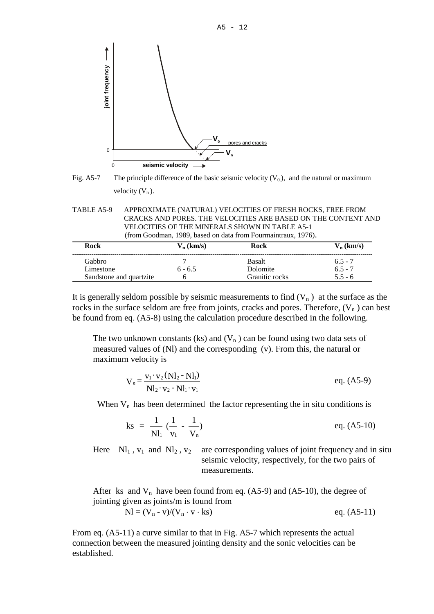

Fig. A5-7 The principle difference of the basic seismic velocity  $(V_0)$ , and the natural or maximum velocity  $(V_n)$ .

| TABLE A5-9 | APPROXIMATE (NATURAL) VELOCITIES OF FRESH ROCKS, FREE FROM    |
|------------|---------------------------------------------------------------|
|            | CRACKS AND PORES. THE VELOCITIES ARE BASED ON THE CONTENT AND |
|            | VELOCITIES OF THE MINERALS SHOWN IN TABLE A5-1                |
|            | (from Goodman, 1989, based on data from Fourmaintraux, 1976). |

| Rock                    | $V_n$ (km/s) | Rock           | $V_n$ (km/s) |
|-------------------------|--------------|----------------|--------------|
| <b>Gabbro</b>           |              | <b>Basalt</b>  | $6.5 - 7$    |
| Limestone               | $6 - 6.5$    | Dolomite       | $6.5 - 7$    |
| Sandstone and quartzite |              | Granitic rocks | $5.5 - 6$    |

It is generally seldom possible by seismic measurements to find  $(V_n)$  at the surface as the rocks in the surface seldom are free from joints, cracks and pores. Therefore,  $(V_n)$  can best be found from eq. (A5-8) using the calculation procedure described in the following.

The two unknown constants (ks) and  $(V_n)$  can be found using two data sets of measured values of (Nl) and the corresponding (v). From this, the natural or maximum velocity is

$$
V_n = \frac{v_1 \cdot v_2 (Nl_2 - Nl_1)}{Nl_2 \cdot v_2 - Nl_1 \cdot v_1}
$$
 eq. (A5-9)

When  $V_n$  has been determined the factor representing the in situ conditions is

$$
ks = \frac{1}{Nl_1} \left( \frac{1}{v_1} - \frac{1}{V_n} \right) \qquad \qquad eq. (A5-10)
$$

Here  $\text{N}_1$ ,  $\text{v}_1$  and  $\text{N}_2$ ,  $\text{v}_2$  are corresponding values of joint frequency and in situ seismic velocity, respectively, for the two pairs of measurements.

After ks and  $V_n$  have been found from eq. (A5-9) and (A5-10), the degree of jointing given as joints/m is found from

$$
NI = (V_n - v)/(V_n \cdot v \cdot ks)
$$
eq. (A5-11)

From eq. (A5-11) a curve similar to that in Fig. A5-7 which represents the actual connection between the measured jointing density and the sonic velocities can be established.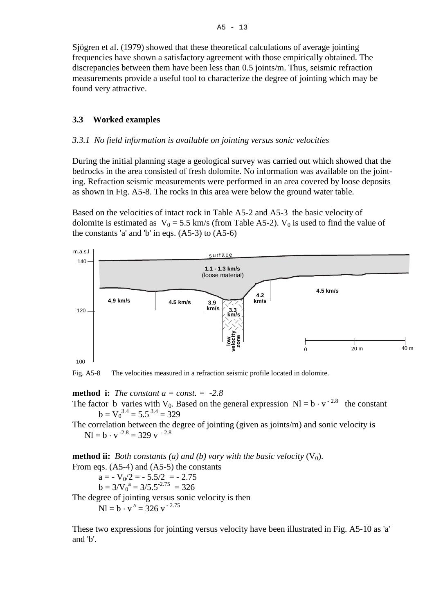Sjögren et al. (1979) showed that these theoretical calculations of average jointing frequencies have shown a satisfactory agreement with those empirically obtained. The discrepancies between them have been less than 0.5 joints/m. Thus, seismic refraction measurements provide a useful tool to characterize the degree of jointing which may be found very attractive.

### **3.3 Worked examples**

#### *3.3.1 No field information is available on jointing versus sonic velocities*

During the initial planning stage a geological survey was carried out which showed that the bedrocks in the area consisted of fresh dolomite. No information was available on the jointing. Refraction seismic measurements were performed in an area covered by loose deposits as shown in Fig. A5-8. The rocks in this area were below the ground water table.

Based on the velocities of intact rock in Table A5-2 and A5-3 the basic velocity of dolomite is estimated as  $V_0 = 5.5$  km/s (from Table A5-2).  $V_0$  is used to find the value of the constants 'a' and 'b' in eqs.  $(A5-3)$  to  $(A5-6)$ 



Fig. A5-8 The velocities measured in a refraction seismic profile located in dolomite.

**method i:** *The constant a = const. = -2.8*

- The factor b varies with V<sub>0</sub>. Based on the general expression Nl =  $b \cdot v^{-2.8}$  the constant  $b = V_0^{3.4} = 5.5^{3.4} = 329$
- The correlation between the degree of jointing (given as joints/m) and sonic velocity is  $N = b \cdot v^{-2.8} = 329 v^{-2.8}$

**method ii:** *Both constants (a) and (b) vary with the basic velocity (V<sub>0</sub>).* From eqs. (A5-4) and (A5-5) the constants  $a = -V_0/2 = -5.5/2 = -2.75$  $b = 3/V_0^a = 3/5.5^{2.75} = 326$ The degree of jointing versus sonic velocity is then  $N = b \cdot v^a = 326 v^{-2.75}$ 

These two expressions for jointing versus velocity have been illustrated in Fig. A5-10 as 'a' and 'b'.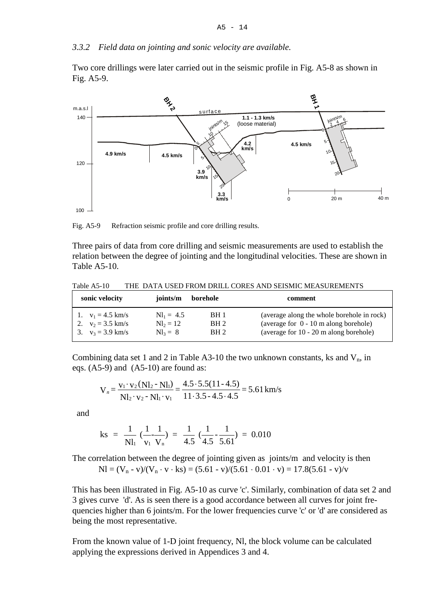#### *3.3.2 Field data on jointing and sonic velocity are available.*

Two core drillings were later carried out in the seismic profile in Fig. A5-8 as shown in Fig. A5-9.



Fig. A5-9 Refraction seismic profile and core drilling results.

Three pairs of data from core drilling and seismic measurements are used to establish the relation between the degree of jointing and the longitudinal velocities. These are shown in Table A5-10.

Table A5-10 THE DATA USED FROM DRILL CORES AND SEISMIC MEASUREMENTS

| sonic velocity      | joints/m            | borehole        | comment                                    |
|---------------------|---------------------|-----------------|--------------------------------------------|
| 1. $v_1 = 4.5$ km/s | $Nl_1 = 4.5$        | BH 1            | (average along the whole borehole in rock) |
| 2. $v_2 = 3.5$ km/s | $Nl_2 = 12$         | BH <sub>2</sub> | (average for $0 - 10$ m along borehole)    |
| 3. $v_3 = 3.9$ km/s | $\mathrm{NI}_2 = 8$ | BH <sub>2</sub> | (average for 10 - 20 m along borehole)     |

Combining data set 1 and 2 in Table A3-10 the two unknown constants, ks and  $V_n$ , in eqs. (A5-9) and (A5-10) are found as:

$$
V_n = \frac{v_1 \cdot v_2 (Nl_2 - Nl_1)}{Nl_2 \cdot v_2 - Nl_1 \cdot v_1} = \frac{4.5 \cdot 5.5 (11 - 4.5)}{11 \cdot 3.5 - 4.5 \cdot 4.5} = 5.61 \text{ km/s}
$$

and

$$
ks = \frac{1}{Nl_1} \left( \frac{1}{v_1} \frac{1}{V_n} \right) = \frac{1}{4.5} \left( \frac{1}{4.5} \frac{1}{5.61} \right) = 0.010
$$

The correlation between the degree of jointing given as joints/m and velocity is then  $NI = (V_n - v)/(V_n \cdot v \cdot ks) = (5.61 - v)/(5.61 \cdot 0.01 \cdot v) = 17.8(5.61 - v)/v$ 

This has been illustrated in Fig. A5-10 as curve 'c'. Similarly, combination of data set 2 and 3 gives curve 'd'. As is seen there is a good accordance between all curves for joint frequencies higher than 6 joints/m. For the lower frequencies curve 'c' or 'd' are considered as being the most representative.

From the known value of 1-D joint frequency, Nl, the block volume can be calculated applying the expressions derived in Appendices 3 and 4.